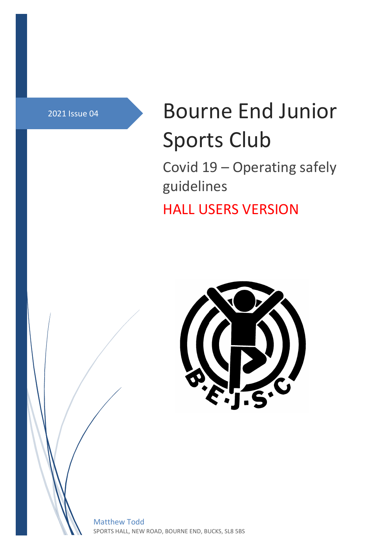# 2021 Issue 04 **Bourne End Junior** Sports Club

Covid 19 – Operating safely guidelines

HALL USERS VERSION



Matthew Todd SPORTS HALL, NEW ROAD, BOURNE END, BUCKS, SL8 5BS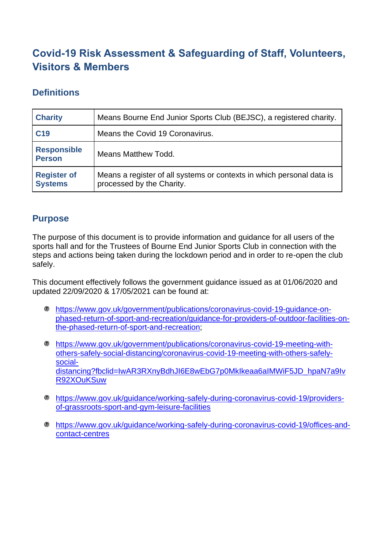# **Covid-19 Risk Assessment & Safeguarding of Staff, Volunteers, Visitors & Members**

### **Definitions**

| <b>Charity</b>                       | Means Bourne End Junior Sports Club (BEJSC), a registered charity.                                 |
|--------------------------------------|----------------------------------------------------------------------------------------------------|
| C <sub>19</sub>                      | Means the Covid 19 Coronavirus.                                                                    |
| <b>Responsible</b><br><b>Person</b>  | Means Matthew Todd.                                                                                |
| <b>Register of</b><br><b>Systems</b> | Means a register of all systems or contexts in which personal data is<br>processed by the Charity. |

### **Purpose**

The purpose of this document is to provide information and guidance for all users of the sports hall and for the Trustees of Bourne End Junior Sports Club in connection with the steps and actions being taken during the lockdown period and in order to re-open the club safely.

This document effectively follows the government guidance issued as at 01/06/2020 and updated 22/09/2020 & 17/05/2021 can be found at:

- [https://www.gov.uk/government/publications/coronavirus-covid-19-guidance-on](https://www.gov.uk/government/publications/coronavirus-covid-19-guidance-on-phased-return-of-sport-and-recreation/guidance-for-providers-of-outdoor-facilities-on-the-phased-return-of-sport-and-recreation)[phased-return-of-sport-and-recreation/guidance-for-providers-of-outdoor-facilities-on](https://www.gov.uk/government/publications/coronavirus-covid-19-guidance-on-phased-return-of-sport-and-recreation/guidance-for-providers-of-outdoor-facilities-on-the-phased-return-of-sport-and-recreation)[the-phased-return-of-sport-and-recreation;](https://www.gov.uk/government/publications/coronavirus-covid-19-guidance-on-phased-return-of-sport-and-recreation/guidance-for-providers-of-outdoor-facilities-on-the-phased-return-of-sport-and-recreation)
- [https://www.gov.uk/government/publications/coronavirus-covid-19-meeting-with](https://www.gov.uk/government/publications/coronavirus-covid-19-meeting-with-others-safely-social-distancing/coronavirus-covid-19-meeting-with-others-safely-social-distancing?fbclid=IwAR3RXnyBdhJI6E8wEbG7p0MkIkeaa6aIMWiF5JD_hpaN7a9IvR92XOuKSuw)[others-safely-social-distancing/coronavirus-covid-19-meeting-with-others-safely](https://www.gov.uk/government/publications/coronavirus-covid-19-meeting-with-others-safely-social-distancing/coronavirus-covid-19-meeting-with-others-safely-social-distancing?fbclid=IwAR3RXnyBdhJI6E8wEbG7p0MkIkeaa6aIMWiF5JD_hpaN7a9IvR92XOuKSuw)[social](https://www.gov.uk/government/publications/coronavirus-covid-19-meeting-with-others-safely-social-distancing/coronavirus-covid-19-meeting-with-others-safely-social-distancing?fbclid=IwAR3RXnyBdhJI6E8wEbG7p0MkIkeaa6aIMWiF5JD_hpaN7a9IvR92XOuKSuw)[distancing?fbclid=IwAR3RXnyBdhJI6E8wEbG7p0MkIkeaa6aIMWiF5JD\\_hpaN7a9Iv](https://www.gov.uk/government/publications/coronavirus-covid-19-meeting-with-others-safely-social-distancing/coronavirus-covid-19-meeting-with-others-safely-social-distancing?fbclid=IwAR3RXnyBdhJI6E8wEbG7p0MkIkeaa6aIMWiF5JD_hpaN7a9IvR92XOuKSuw) [R92XOuKSuw](https://www.gov.uk/government/publications/coronavirus-covid-19-meeting-with-others-safely-social-distancing/coronavirus-covid-19-meeting-with-others-safely-social-distancing?fbclid=IwAR3RXnyBdhJI6E8wEbG7p0MkIkeaa6aIMWiF5JD_hpaN7a9IvR92XOuKSuw)
- [https://www.gov.uk/guidance/working-safely-during-coronavirus-covid-19/providers](https://www.gov.uk/guidance/working-safely-during-coronavirus-covid-19/providers-of-grassroots-sport-and-gym-leisure-facilities)[of-grassroots-sport-and-gym-leisure-facilities](https://www.gov.uk/guidance/working-safely-during-coronavirus-covid-19/providers-of-grassroots-sport-and-gym-leisure-facilities)
- [https://www.gov.uk/guidance/working-safely-during-coronavirus-covid-19/offices-and](https://www.gov.uk/guidance/working-safely-during-coronavirus-covid-19/offices-and-contact-centres)[contact-centres](https://www.gov.uk/guidance/working-safely-during-coronavirus-covid-19/offices-and-contact-centres)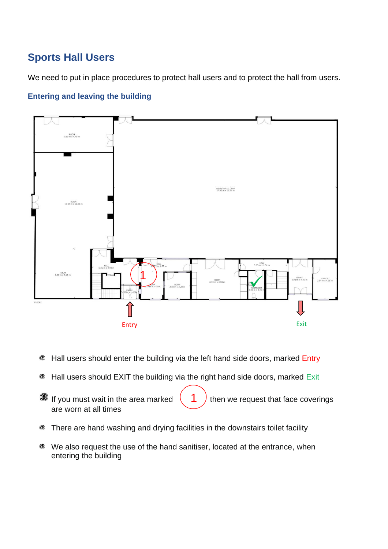# **Sports Hall Users**

We need to put in place procedures to protect hall users and to protect the hall from users.

#### **Entering and leaving the building**



- ◎ Hall users should enter the building via the left hand side doors, marked Entry
- Hall users should EXIT the building via the right hand side doors, marked Exit ۱
- ۵ If you must wait in the area marked  $\begin{pmatrix} 1 \end{pmatrix}$  then we request that face coverings are worn at all times
- There are hand washing and drying facilities in the downstairs toilet facility ◎
- We also request the use of the hand sanitiser, located at the entrance, when entering the building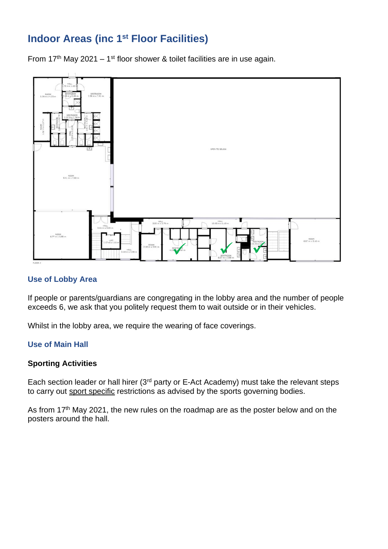## **Indoor Areas (inc 1st Floor Facilities)**

From 17<sup>th</sup> May 2021 – 1<sup>st</sup> floor shower & toilet facilities are in use again.



#### **Use of Lobby Area**

If people or parents/guardians are congregating in the lobby area and the number of people exceeds 6, we ask that you politely request them to wait outside or in their vehicles.

Whilst in the lobby area, we require the wearing of face coverings.

#### **Use of Main Hall**

#### **Sporting Activities**

Each section leader or hall hirer (3<sup>rd</sup> party or E-Act Academy) must take the relevant steps to carry out sport specific restrictions as advised by the sports governing bodies.

As from 17<sup>th</sup> May 2021, the new rules on the roadmap are as the poster below and on the posters around the hall.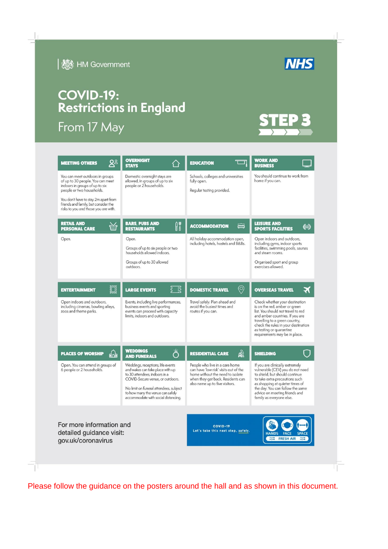

**I & HM Government** 

# **COVID-19: Restrictions in England**

From 17 May

| <b>MEETING OTHERS</b>                                                                                                                                                                                                                                      | <b>OVERNIGHT</b><br><b>STAYS</b>                                                                                                                                                                                                                                | <b>EDUCATION</b>                                                                                                                                                                   | <b>WORK AND</b><br><b>BUSINESS</b>                                                                                                                                                                                                                                             |
|------------------------------------------------------------------------------------------------------------------------------------------------------------------------------------------------------------------------------------------------------------|-----------------------------------------------------------------------------------------------------------------------------------------------------------------------------------------------------------------------------------------------------------------|------------------------------------------------------------------------------------------------------------------------------------------------------------------------------------|--------------------------------------------------------------------------------------------------------------------------------------------------------------------------------------------------------------------------------------------------------------------------------|
| You can meet outdoors in groups<br>of up to 30 people. You can meet<br>indoors in groups of up to six<br>people or two households.<br>You don't have to stay 2m apart from<br>friends and family, but consider the<br>risks to you and those you are with. | Domestic overnight stays are<br>allowed, in groups of up to six<br>people or 2 households.                                                                                                                                                                      | Schools, colleges and universities<br>fully open.<br>Regular testing provided.                                                                                                     | You should continue to work from<br>home if you can.                                                                                                                                                                                                                           |
| <b>RETAIL AND</b><br>TITL<br><b>PERSONAL CARE</b>                                                                                                                                                                                                          | <b>BARS, PUBS AND</b><br>H۸<br><b>RESTAURANTS</b>                                                                                                                                                                                                               | <b>ACCOMMODATION</b>                                                                                                                                                               | <b>LEISURE AND</b><br>ℍ<br><b>SPORTS FACILITIES</b>                                                                                                                                                                                                                            |
| Open.                                                                                                                                                                                                                                                      | Open.<br>Groups of up to six people or two<br>households allowed indoors.<br>Groups of up to 30 allowed<br>outdoors.                                                                                                                                            | All holiday accommodation open,<br>including hotels, hostels and B&Bs.                                                                                                             | Open indoors and outdoors,<br>including gyms, indoor sports<br>facilities, swimming pools, saunas<br>and steam rooms.<br>Organised sport and group<br>exercises allowed.                                                                                                       |
| <b>ENTERTAINMENT</b>                                                                                                                                                                                                                                       | ؟¦<br><b>LARGE EVENTS</b>                                                                                                                                                                                                                                       | $\odot$<br><b>DOMESTIC TRAVEL</b>                                                                                                                                                  | <b>OVERSEAS TRAVEL</b>                                                                                                                                                                                                                                                         |
| Open indoors and outdoors,<br>including cinemas, bowling alleys,<br>zoos and theme parks.                                                                                                                                                                  | Events, including live performances,<br>business events and sporting<br>events can proceed with capacity<br>limits, indoors and outdoors.                                                                                                                       | Travel safely. Plan ahead and<br>avoid the busiest times and<br>routes if you can.                                                                                                 | Check whether your destination<br>is on the red, amber or green<br>list. You should not travel to red<br>and amber countries. If you are<br>travelling to a green country,<br>check the rules in your destination<br>as testing or quarantine<br>requirements may be in place. |
| <b>PLACES OF WORSHIP</b><br>do a                                                                                                                                                                                                                           | <b>WEDDINGS</b><br><b>AND FUNERALS</b>                                                                                                                                                                                                                          | ଈ<br><b>RESIDENTIAL CARE</b>                                                                                                                                                       | <b>SHIELDING</b>                                                                                                                                                                                                                                                               |
| Open. You can attend in groups of<br>6 people or 2 households.                                                                                                                                                                                             | Weddings, receptions, life events<br>and wakes can take place with up<br>to 30 attendees, indoors in a<br>COVID-Secure venue, or outdoors.<br>No limit on funeral attendees, subject<br>to how many the venue can safely<br>accommodate with social distancing. | People who live in a care home<br>can have 'low risk' visits out of the<br>home without the need to isolate<br>when they get back. Residents can<br>also name up to five visitors. | If you are clinically extremely<br>vulnerable (CEV) you do not need<br>to shield, but should continue<br>to take extra precautions such<br>as shopping at quieter times of<br>the day. You can follow the same<br>advice on meeting friends and<br>family as everyone else.    |
| For more information and<br>detailed guidance visit:<br>gov.uk/coronavirus                                                                                                                                                                                 |                                                                                                                                                                                                                                                                 | <b>COVID-19</b><br>Let's take this next step, safely.                                                                                                                              | <b>HANDS</b><br><b>FRESH AIR</b>                                                                                                                                                                                                                                               |
|                                                                                                                                                                                                                                                            |                                                                                                                                                                                                                                                                 |                                                                                                                                                                                    |                                                                                                                                                                                                                                                                                |

Please follow the guidance on the posters around the hall and as shown in this document.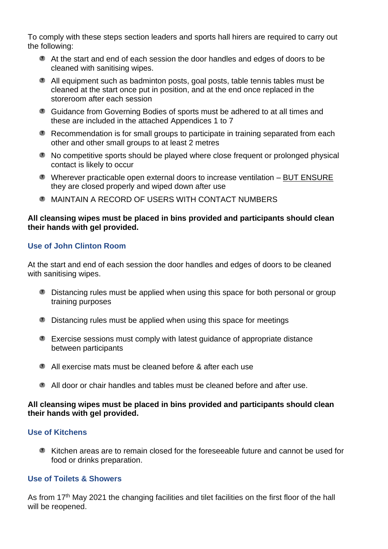To comply with these steps section leaders and sports hall hirers are required to carry out the following:

- At the start and end of each session the door handles and edges of doors to be cleaned with sanitising wipes.
- All equipment such as badminton posts, goal posts, table tennis tables must be cleaned at the start once put in position, and at the end once replaced in the storeroom after each session
- Guidance from Governing Bodies of sports must be adhered to at all times and these are included in the attached Appendices 1 to 7
- Recommendation is for small groups to participate in training separated from each other and other small groups to at least 2 metres
- No competitive sports should be played where close frequent or prolonged physical contact is likely to occur
- Wherever practicable open external doors to increase ventilation BUT ENSURE they are closed properly and wiped down after use
- MAINTAIN A RECORD OF USERS WITH CONTACT NUMBERS

#### **All cleansing wipes must be placed in bins provided and participants should clean their hands with gel provided.**

#### **Use of John Clinton Room**

At the start and end of each session the door handles and edges of doors to be cleaned with sanitising wipes.

- Distancing rules must be applied when using this space for both personal or group training purposes
- Distancing rules must be applied when using this space for meetings
- **Exercise sessions must comply with latest guidance of appropriate distance** between participants
- All exercise mats must be cleaned before & after each use
- All door or chair handles and tables must be cleaned before and after use.

#### **All cleansing wipes must be placed in bins provided and participants should clean their hands with gel provided.**

#### **Use of Kitchens**

Kitchen areas are to remain closed for the foreseeable future and cannot be used for food or drinks preparation.

#### **Use of Toilets & Showers**

As from 17<sup>th</sup> May 2021 the changing facilities and tilet facilities on the first floor of the hall will be reopened.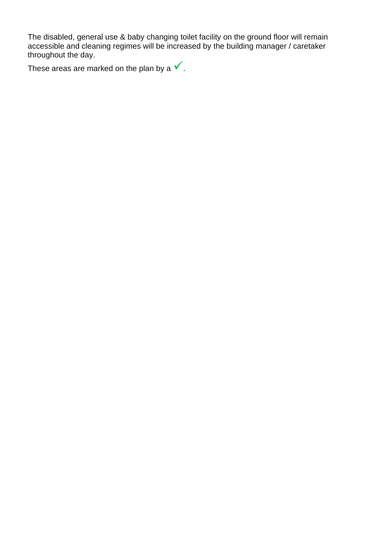The disabled, general use & baby changing toilet facility on the ground floor will remain accessible and cleaning regimes will be increased by the building manager / caretaker throughout the day.

These areas are marked on the plan by a  $\checkmark$ .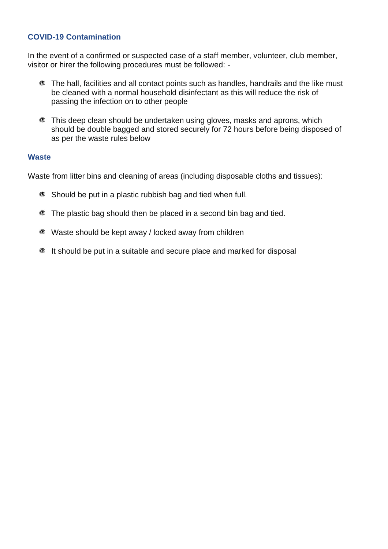#### **COVID-19 Contamination**

In the event of a confirmed or suspected case of a staff member, volunteer, club member, visitor or hirer the following procedures must be followed: -

- **The hall, facilities and all contact points such as handles, handrails and the like must** be cleaned with a normal household disinfectant as this will reduce the risk of passing the infection on to other people
- **This deep clean should be undertaken using gloves, masks and aprons, which** should be double bagged and stored securely for 72 hours before being disposed of as per the waste rules below

#### **Waste**

Waste from litter bins and cleaning of areas (including disposable cloths and tissues):

- **Should be put in a plastic rubbish bag and tied when full.**
- **The plastic bag should then be placed in a second bin bag and tied.**
- Waste should be kept away / locked away from children
- It should be put in a suitable and secure place and marked for disposal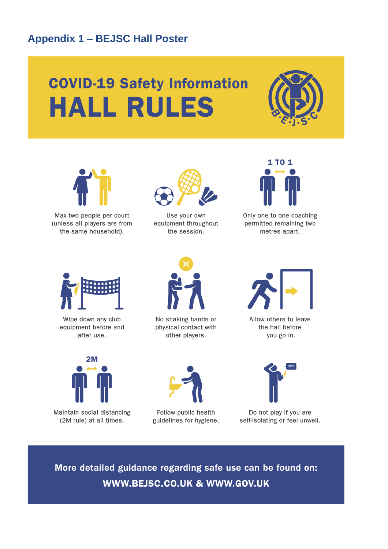## **Appendix 1 – BEJSC Hall Poster**

# **COVID-19 Safety Information HALL RULES**





Max two people per court (unless all players are from the same household).



Use your own equipment throughout the session.



Only one to one coaching permitted remaining two metres apart.



Wipe down any club equipment before and after use.



No shaking hands or physical contact with other players.



Allow others to leave the hall before you go in.



Maintain social distancing (2M rule) at all times.



Follow public health guidelines for hygiene.



Do not play if you are self-isolating or feel unwell.

More detailed guidance regarding safe use can be found on: WWW.BEJSC.CO.UK & WWW.GOV.UK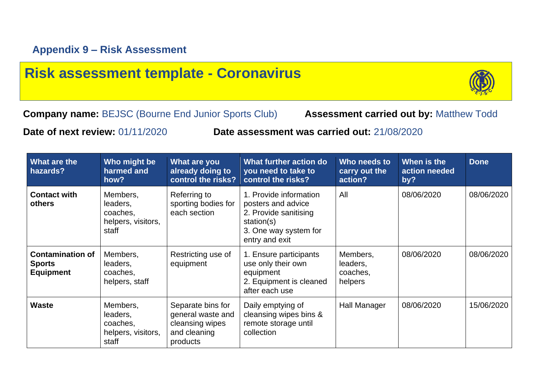# **Risk assessment template - Coronavirus**



**Company name:** BEJSC (Bourne End Junior Sports Club) **Assessment carried out by:** Matthew Todd

**Date of next review:** 01/11/2020 **Date assessment was carried out:** 21/08/2020

| What are the<br>hazards?                                     | Who might be<br>harmed and<br>how?                              | What are you<br>already doing to<br>control the risks?                                | What further action do<br>you need to take to<br>control the risks?                                                            | Who needs to<br>carry out the<br>action?    | When is the<br>action needed<br>by? | <b>Done</b> |
|--------------------------------------------------------------|-----------------------------------------------------------------|---------------------------------------------------------------------------------------|--------------------------------------------------------------------------------------------------------------------------------|---------------------------------------------|-------------------------------------|-------------|
| <b>Contact with</b><br>others                                | Members,<br>leaders,<br>coaches,<br>helpers, visitors,<br>staff | Referring to<br>sporting bodies for<br>each section                                   | 1. Provide information<br>posters and advice<br>2. Provide sanitising<br>station(s)<br>3. One way system for<br>entry and exit | All                                         | 08/06/2020                          | 08/06/2020  |
| <b>Contamination of</b><br><b>Sports</b><br><b>Equipment</b> | Members,<br>leaders,<br>coaches,<br>helpers, staff              | Restricting use of<br>equipment                                                       | 1. Ensure participants<br>use only their own<br>equipment<br>2. Equipment is cleaned<br>after each use                         | Members,<br>leaders,<br>coaches,<br>helpers | 08/06/2020                          | 08/06/2020  |
| <b>Waste</b>                                                 | Members,<br>leaders,<br>coaches,<br>helpers, visitors,<br>staff | Separate bins for<br>general waste and<br>cleansing wipes<br>and cleaning<br>products | Daily emptying of<br>cleansing wipes bins &<br>remote storage until<br>collection                                              | Hall Manager                                | 08/06/2020                          | 15/06/2020  |